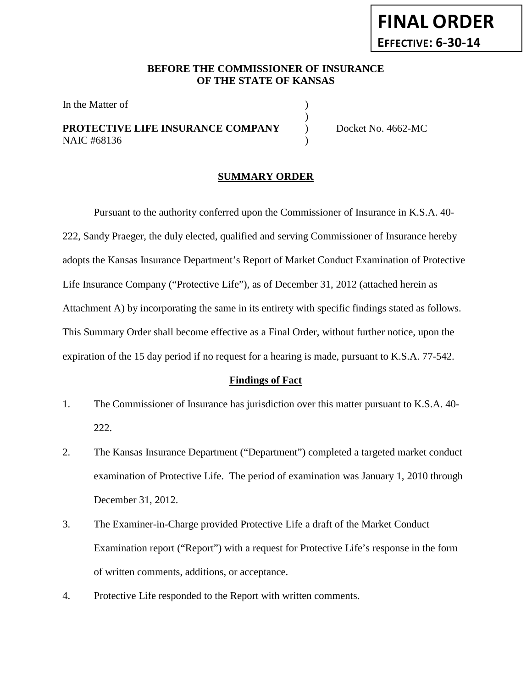# **FINAL ORDER EFFECTIVE: 6-30-14**

#### **BEFORE THE COMMISSIONER OF INSURANCE OF THE STATE OF KANSAS**

)

In the Matter of  $\hspace{1.5cm}$  )

### **PROTECTIVE LIFE INSURANCE COMPANY** Docket No. 4662-MC NAIC #68136 (1)

#### **SUMMARY ORDER**

Pursuant to the authority conferred upon the Commissioner of Insurance in K.S.A. 40- 222, Sandy Praeger, the duly elected, qualified and serving Commissioner of Insurance hereby adopts the Kansas Insurance Department's Report of Market Conduct Examination of Protective Life Insurance Company ("Protective Life"), as of December 31, 2012 (attached herein as Attachment A) by incorporating the same in its entirety with specific findings stated as follows. This Summary Order shall become effective as a Final Order, without further notice, upon the expiration of the 15 day period if no request for a hearing is made, pursuant to K.S.A. 77-542.

#### **Findings of Fact**

- 1. The Commissioner of Insurance has jurisdiction over this matter pursuant to K.S.A. 40- 222.
- 2. The Kansas Insurance Department ("Department") completed a targeted market conduct examination of Protective Life. The period of examination was January 1, 2010 through December 31, 2012.
- 3. The Examiner-in-Charge provided Protective Life a draft of the Market Conduct Examination report ("Report") with a request for Protective Life's response in the form of written comments, additions, or acceptance.
- 4. Protective Life responded to the Report with written comments.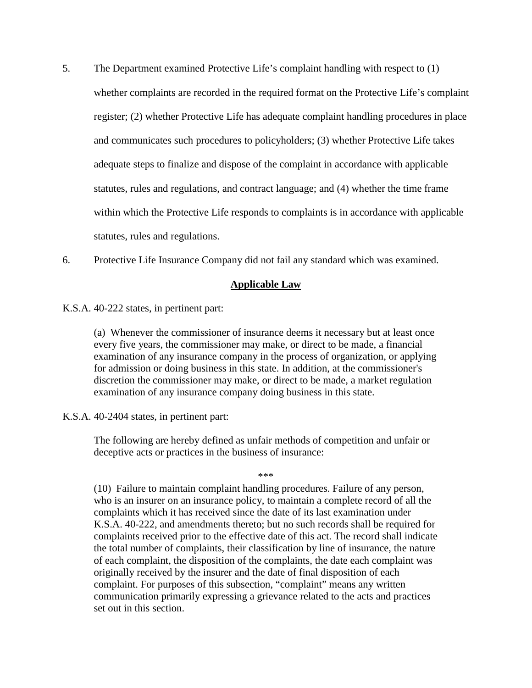- 5. The Department examined Protective Life's complaint handling with respect to (1) whether complaints are recorded in the required format on the Protective Life's complaint register; (2) whether Protective Life has adequate complaint handling procedures in place and communicates such procedures to policyholders; (3) whether Protective Life takes adequate steps to finalize and dispose of the complaint in accordance with applicable statutes, rules and regulations, and contract language; and (4) whether the time frame within which the Protective Life responds to complaints is in accordance with applicable statutes, rules and regulations.
- 6. Protective Life Insurance Company did not fail any standard which was examined.

#### **Applicable Law**

K.S.A. 40-222 states, in pertinent part:

(a) Whenever the commissioner of insurance deems it necessary but at least once every five years, the commissioner may make, or direct to be made, a financial examination of any insurance company in the process of organization, or applying for admission or doing business in this state. In addition, at the commissioner's discretion the commissioner may make, or direct to be made, a market regulation examination of any insurance company doing business in this state.

#### K.S.A. 40-2404 states, in pertinent part:

The following are hereby defined as unfair methods of competition and unfair or deceptive acts or practices in the business of insurance:

\*\*\*

(10) Failure to maintain complaint handling procedures. Failure of any person, who is an insurer on an insurance policy, to maintain a complete record of all the complaints which it has received since the date of its last examination under K.S.A. 40-222, and amendments thereto; but no such records shall be required for complaints received prior to the effective date of this act. The record shall indicate the total number of complaints, their classification by line of insurance, the nature of each complaint, the disposition of the complaints, the date each complaint was originally received by the insurer and the date of final disposition of each complaint. For purposes of this subsection, "complaint" means any written communication primarily expressing a grievance related to the acts and practices set out in this section.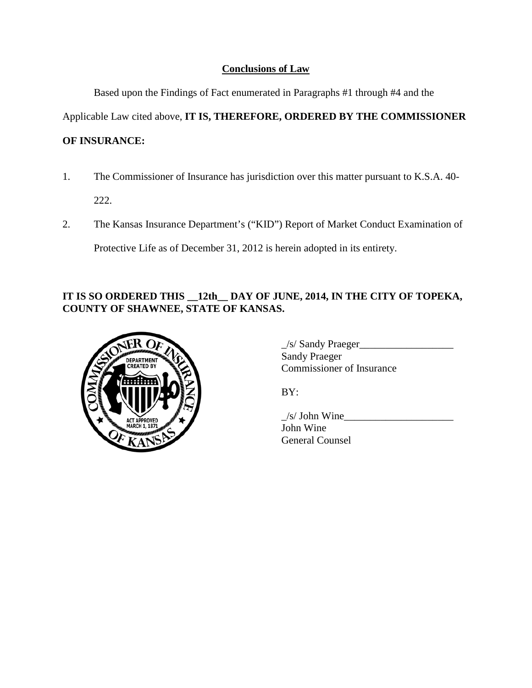## **Conclusions of Law**

Based upon the Findings of Fact enumerated in Paragraphs #1 through #4 and the

Applicable Law cited above, **IT IS, THEREFORE, ORDERED BY THE COMMISSIONER** 

## **OF INSURANCE:**

1. The Commissioner of Insurance has jurisdiction over this matter pursuant to K.S.A. 40-

222.

2. The Kansas Insurance Department's ("KID") Report of Market Conduct Examination of

Protective Life as of December 31, 2012 is herein adopted in its entirety.

# **IT IS SO ORDERED THIS \_\_12th\_\_ DAY OF JUNE, 2014, IN THE CITY OF TOPEKA, COUNTY OF SHAWNEE, STATE OF KANSAS.**



\_/s/ Sandy Praeger\_\_\_\_\_\_\_\_\_\_\_\_\_\_\_\_\_\_ Sandy Praeger Commissioner of Insurance

BY:

 $/s/John$  Wine John Wine General Counsel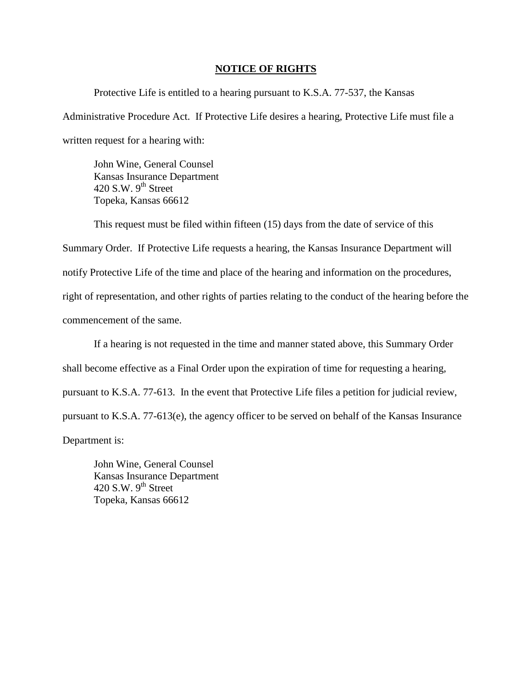#### **NOTICE OF RIGHTS**

Protective Life is entitled to a hearing pursuant to K.S.A. 77-537, the Kansas Administrative Procedure Act. If Protective Life desires a hearing, Protective Life must file a written request for a hearing with:

John Wine, General Counsel Kansas Insurance Department 420 S.W.  $9^{th}$  Street Topeka, Kansas 66612

This request must be filed within fifteen (15) days from the date of service of this Summary Order. If Protective Life requests a hearing, the Kansas Insurance Department will notify Protective Life of the time and place of the hearing and information on the procedures, right of representation, and other rights of parties relating to the conduct of the hearing before the commencement of the same.

If a hearing is not requested in the time and manner stated above, this Summary Order shall become effective as a Final Order upon the expiration of time for requesting a hearing, pursuant to K.S.A. 77-613. In the event that Protective Life files a petition for judicial review, pursuant to K.S.A. 77-613(e), the agency officer to be served on behalf of the Kansas Insurance Department is:

John Wine, General Counsel Kansas Insurance Department 420 S.W.  $9<sup>th</sup>$  Street Topeka, Kansas 66612